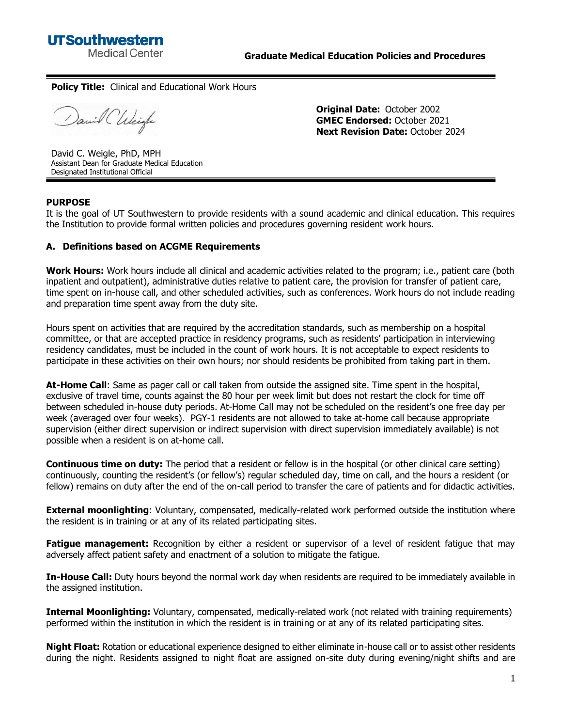

#### **Policy Title:** Clinical and Educational Work Hours

David CUlciafe

**Original Date:** October 2002 **GMEC Endorsed:** October 2021 **Next Revision Date:** October 2024

David C. Weigle, PhD, MPH Assistant Dean for Graduate Medical Education Designated Institutional Official

#### **PURPOSE**

It is the goal of UT Southwestern to provide residents with a sound academic and clinical education. This requires the Institution to provide formal written policies and procedures governing resident work hours.

#### **A. Definitions based on ACGME Requirements**

**Work Hours:** Work hours include all clinical and academic activities related to the program; i.e., patient care (both inpatient and outpatient), administrative duties relative to patient care, the provision for transfer of patient care, time spent on in-house call, and other scheduled activities, such as conferences. Work hours do not include reading and preparation time spent away from the duty site.

Hours spent on activities that are required by the accreditation standards, such as membership on a hospital committee, or that are accepted practice in residency programs, such as residents' participation in interviewing residency candidates, must be included in the count of work hours. It is not acceptable to expect residents to participate in these activities on their own hours; nor should residents be prohibited from taking part in them.

**At-Home Call**: Same as pager call or call taken from outside the assigned site. Time spent in the hospital, exclusive of travel time, counts against the 80 hour per week limit but does not restart the clock for time off between scheduled in-house duty periods. At-Home Call may not be scheduled on the resident's one free day per week (averaged over four weeks). PGY-1 residents are not allowed to take at-home call because appropriate supervision (either direct supervision or indirect supervision with direct supervision immediately available) is not possible when a resident is on at-home call.

**Continuous time on duty:** The period that a resident or fellow is in the hospital (or other clinical care setting) continuously, counting the resident's (or fellow's) regular scheduled day, time on call, and the hours a resident (or fellow) remains on duty after the end of the on-call period to transfer the care of patients and for didactic activities.

**External moonlighting**: Voluntary, compensated, medically-related work performed outside the institution where the resident is in training or at any of its related participating sites.

**Fatigue management:** Recognition by either a resident or supervisor of a level of resident fatigue that may adversely affect patient safety and enactment of a solution to mitigate the fatigue.

**In-House Call:** Duty hours beyond the normal work day when residents are required to be immediately available in the assigned institution.

**Internal Moonlighting:** Voluntary, compensated, medically-related work (not related with training requirements) performed within the institution in which the resident is in training or at any of its related participating sites.

**Night Float:** Rotation or educational experience designed to either eliminate in-house call or to assist other residents during the night. Residents assigned to night float are assigned on-site duty during evening/night shifts and are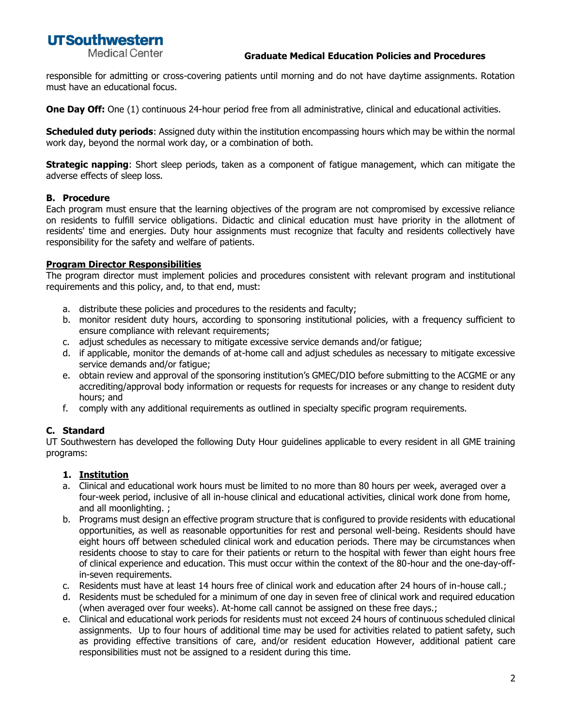# **UTSouthwestern**

**Medical Center** 

#### **Graduate Medical Education Policies and Procedures**

responsible for admitting or cross-covering patients until morning and do not have daytime assignments. Rotation must have an educational focus.

**One Day Off:** One (1) continuous 24-hour period free from all administrative, clinical and educational activities.

**Scheduled duty periods**: Assigned duty within the institution encompassing hours which may be within the normal work day, beyond the normal work day, or a combination of both.

**Strategic napping**: Short sleep periods, taken as a component of fatigue management, which can mitigate the adverse effects of sleep loss.

#### **B. Procedure**

Each program must ensure that the learning objectives of the program are not compromised by excessive reliance on residents to fulfill service obligations. Didactic and clinical education must have priority in the allotment of residents' time and energies. Duty hour assignments must recognize that faculty and residents collectively have responsibility for the safety and welfare of patients.

#### **Program Director Responsibilities**

The program director must implement policies and procedures consistent with relevant program and institutional requirements and this policy, and, to that end, must:

- a. distribute these policies and procedures to the residents and faculty;
- b. monitor resident duty hours, according to sponsoring institutional policies, with a frequency sufficient to ensure compliance with relevant requirements;
- c. adjust schedules as necessary to mitigate excessive service demands and/or fatigue;
- d. if applicable, monitor the demands of at-home call and adjust schedules as necessary to mitigate excessive service demands and/or fatigue;
- e. obtain review and approval of the sponsoring institution's GMEC/DIO before submitting to the ACGME or any accrediting/approval body information or requests for requests for increases or any change to resident duty hours; and
- f. comply with any additional requirements as outlined in specialty specific program requirements.

## **C. Standard**

UT Southwestern has developed the following Duty Hour guidelines applicable to every resident in all GME training programs:

## **1. Institution**

- a. Clinical and educational work hours must be limited to no more than 80 hours per week, averaged over a four-week period, inclusive of all in-house clinical and educational activities, clinical work done from home, and all moonlighting. ;
- b. Programs must design an effective program structure that is configured to provide residents with educational opportunities, as well as reasonable opportunities for rest and personal well-being. Residents should have eight hours off between scheduled clinical work and education periods. There may be circumstances when residents choose to stay to care for their patients or return to the hospital with fewer than eight hours free of clinical experience and education. This must occur within the context of the 80-hour and the one-day-offin-seven requirements.
- c. Residents must have at least 14 hours free of clinical work and education after 24 hours of in-house call.;
- d. Residents must be scheduled for a minimum of one day in seven free of clinical work and required education (when averaged over four weeks). At-home call cannot be assigned on these free days.;
- e. Clinical and educational work periods for residents must not exceed 24 hours of continuous scheduled clinical assignments. Up to four hours of additional time may be used for activities related to patient safety, such as providing effective transitions of care, and/or resident education However, additional patient care responsibilities must not be assigned to a resident during this time.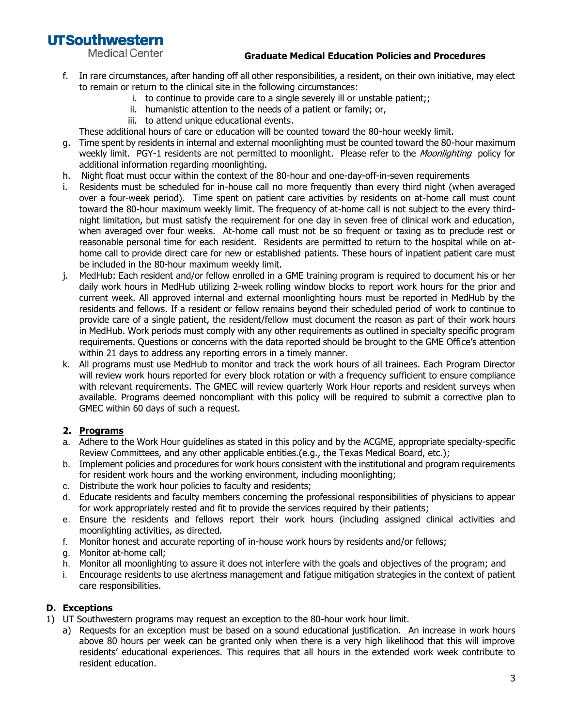**UTSouthwestern** 

**Medical Center** 

#### **Graduate Medical Education Policies and Procedures**

- f. In rare circumstances, after handing off all other responsibilities, a resident, on their own initiative, may elect to remain or return to the clinical site in the following circumstances:
	- i. to continue to provide care to a single severely ill or unstable patient;;
	- ii. humanistic attention to the needs of a patient or family; or,
	- iii. to attend unique educational events.

These additional hours of care or education will be counted toward the 80-hour weekly limit.

- g. Time spent by residents in internal and external moonlighting must be counted toward the 80-hour maximum weekly limit. PGY-1 residents are not permitted to moonlight. Please refer to the *Moonlighting* policy for additional information regarding moonlighting.
- h. Night float must occur within the context of the 80-hour and one-day-off-in-seven requirements
- i. Residents must be scheduled for in-house call no more frequently than every third night (when averaged over a four-week period). Time spent on patient care activities by residents on at-home call must count toward the 80-hour maximum weekly limit. The frequency of at-home call is not subject to the every thirdnight limitation, but must satisfy the requirement for one day in seven free of clinical work and education, when averaged over four weeks. At-home call must not be so frequent or taxing as to preclude rest or reasonable personal time for each resident. Residents are permitted to return to the hospital while on athome call to provide direct care for new or established patients. These hours of inpatient patient care must be included in the 80-hour maximum weekly limit.
- j. MedHub: Each resident and/or fellow enrolled in a GME training program is required to document his or her daily work hours in MedHub utilizing 2-week rolling window blocks to report work hours for the prior and current week. All approved internal and external moonlighting hours must be reported in MedHub by the residents and fellows. If a resident or fellow remains beyond their scheduled period of work to continue to provide care of a single patient, the resident/fellow must document the reason as part of their work hours in MedHub. Work periods must comply with any other requirements as outlined in specialty specific program requirements. Questions or concerns with the data reported should be brought to the GME Office's attention within 21 days to address any reporting errors in a timely manner.
- k. All programs must use MedHub to monitor and track the work hours of all trainees. Each Program Director will review work hours reported for every block rotation or with a frequency sufficient to ensure compliance with relevant requirements. The GMEC will review quarterly Work Hour reports and resident surveys when available. Programs deemed noncompliant with this policy will be required to submit a corrective plan to GMEC within 60 days of such a request.

## **2. Programs**

- a. Adhere to the Work Hour guidelines as stated in this policy and by the ACGME, appropriate specialty-specific Review Committees, and any other applicable entities.(e.g., the Texas Medical Board, etc.);
- b. Implement policies and procedures for work hours consistent with the institutional and program requirements for resident work hours and the working environment, including moonlighting;
- c. Distribute the work hour policies to faculty and residents;
- d. Educate residents and faculty members concerning the professional responsibilities of physicians to appear for work appropriately rested and fit to provide the services required by their patients;
- e. Ensure the residents and fellows report their work hours (including assigned clinical activities and moonlighting activities, as directed.
- f. Monitor honest and accurate reporting of in-house work hours by residents and/or fellows;
- g. Monitor at-home call;
- h. Monitor all moonlighting to assure it does not interfere with the goals and objectives of the program; and
- i. Encourage residents to use alertness management and fatigue mitigation strategies in the context of patient care responsibilities.

## **D. Exceptions**

- 1) UT Southwestern programs may request an exception to the 80-hour work hour limit.
	- a) Requests for an exception must be based on a sound educational justification. An increase in work hours above 80 hours per week can be granted only when there is a very high likelihood that this will improve residents' educational experiences. This requires that all hours in the extended work week contribute to resident education.